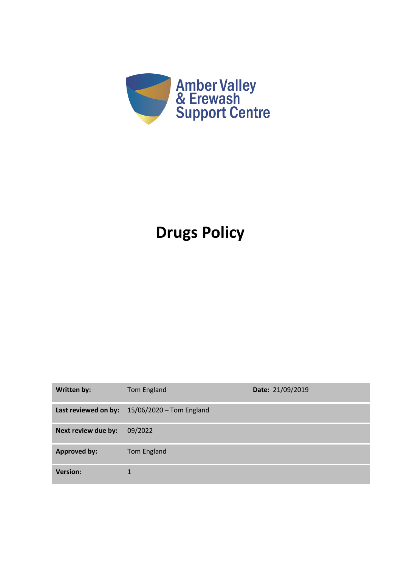

## **Drugs Policy**

| Written by:         | Tom England                                   | Date: 21/09/2019 |
|---------------------|-----------------------------------------------|------------------|
|                     | Last reviewed on by: 15/06/2020 - Tom England |                  |
| Next review due by: | 09/2022                                       |                  |
| <b>Approved by:</b> | <b>Tom England</b>                            |                  |
| <b>Version:</b>     |                                               |                  |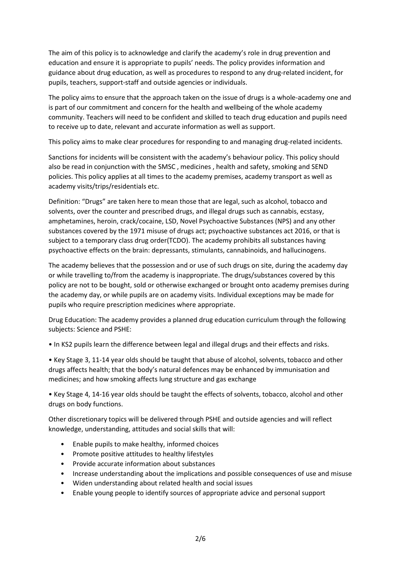The aim of this policy is to acknowledge and clarify the academy's role in drug prevention and education and ensure it is appropriate to pupils' needs. The policy provides information and guidance about drug education, as well as procedures to respond to any drug-related incident, for pupils, teachers, support-staff and outside agencies or individuals.

The policy aims to ensure that the approach taken on the issue of drugs is a whole-academy one and is part of our commitment and concern for the health and wellbeing of the whole academy community. Teachers will need to be confident and skilled to teach drug education and pupils need to receive up to date, relevant and accurate information as well as support.

This policy aims to make clear procedures for responding to and managing drug-related incidents.

Sanctions for incidents will be consistent with the academy's behaviour policy. This policy should also be read in conjunction with the SMSC , medicines , health and safety, smoking and SEND policies. This policy applies at all times to the academy premises, academy transport as well as academy visits/trips/residentials etc.

Definition: "Drugs" are taken here to mean those that are legal, such as alcohol, tobacco and solvents, over the counter and prescribed drugs, and illegal drugs such as cannabis, ecstasy, amphetamines, heroin, crack/cocaine, LSD, Novel Psychoactive Substances (NPS) and any other substances covered by the 1971 misuse of drugs act; psychoactive substances act 2016, or that is subject to a temporary class drug order(TCDO). The academy prohibits all substances having psychoactive effects on the brain: depressants, stimulants, cannabinoids, and hallucinogens.

The academy believes that the possession and or use of such drugs on site, during the academy day or while travelling to/from the academy is inappropriate. The drugs/substances covered by this policy are not to be bought, sold or otherwise exchanged or brought onto academy premises during the academy day, or while pupils are on academy visits. Individual exceptions may be made for pupils who require prescription medicines where appropriate.

Drug Education: The academy provides a planned drug education curriculum through the following subjects: Science and PSHE:

• In KS2 pupils learn the difference between legal and illegal drugs and their effects and risks.

• Key Stage 3, 11-14 year olds should be taught that abuse of alcohol, solvents, tobacco and other drugs affects health; that the body's natural defences may be enhanced by immunisation and medicines; and how smoking affects lung structure and gas exchange

• Key Stage 4, 14-16 year olds should be taught the effects of solvents, tobacco, alcohol and other drugs on body functions.

Other discretionary topics will be delivered through PSHE and outside agencies and will reflect knowledge, understanding, attitudes and social skills that will:

- Enable pupils to make healthy, informed choices
- Promote positive attitudes to healthy lifestyles
- Provide accurate information about substances
- Increase understanding about the implications and possible consequences of use and misuse
- Widen understanding about related health and social issues
- Enable young people to identify sources of appropriate advice and personal support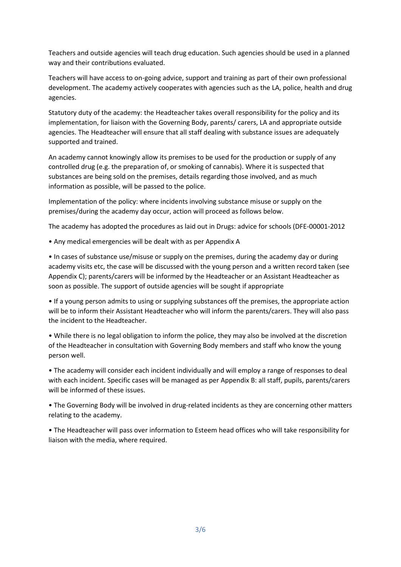Teachers and outside agencies will teach drug education. Such agencies should be used in a planned way and their contributions evaluated.

Teachers will have access to on-going advice, support and training as part of their own professional development. The academy actively cooperates with agencies such as the LA, police, health and drug agencies.

Statutory duty of the academy: the Headteacher takes overall responsibility for the policy and its implementation, for liaison with the Governing Body, parents/ carers, LA and appropriate outside agencies. The Headteacher will ensure that all staff dealing with substance issues are adequately supported and trained.

An academy cannot knowingly allow its premises to be used for the production or supply of any controlled drug (e.g. the preparation of, or smoking of cannabis). Where it is suspected that substances are being sold on the premises, details regarding those involved, and as much information as possible, will be passed to the police.

Implementation of the policy: where incidents involving substance misuse or supply on the premises/during the academy day occur, action will proceed as follows below.

The academy has adopted the procedures as laid out in Drugs: advice for schools (DFE-00001-2012

• Any medical emergencies will be dealt with as per Appendix A

• In cases of substance use/misuse or supply on the premises, during the academy day or during academy visits etc, the case will be discussed with the young person and a written record taken (see Appendix C); parents/carers will be informed by the Headteacher or an Assistant Headteacher as soon as possible. The support of outside agencies will be sought if appropriate

• If a young person admits to using or supplying substances off the premises, the appropriate action will be to inform their Assistant Headteacher who will inform the parents/carers. They will also pass the incident to the Headteacher.

• While there is no legal obligation to inform the police, they may also be involved at the discretion of the Headteacher in consultation with Governing Body members and staff who know the young person well.

• The academy will consider each incident individually and will employ a range of responses to deal with each incident. Specific cases will be managed as per Appendix B: all staff, pupils, parents/carers will be informed of these issues.

• The Governing Body will be involved in drug-related incidents as they are concerning other matters relating to the academy.

• The Headteacher will pass over information to Esteem head offices who will take responsibility for liaison with the media, where required.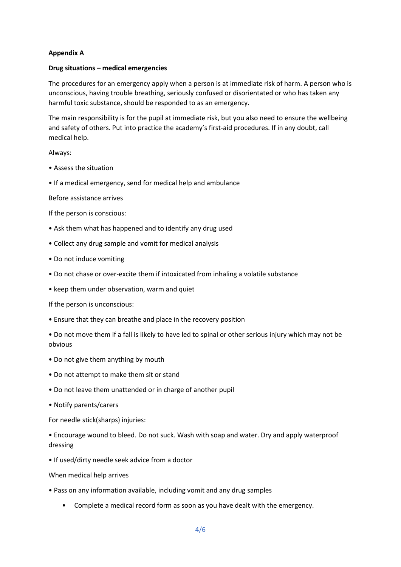## **Appendix A**

## **Drug situations – medical emergencies**

The procedures for an emergency apply when a person is at immediate risk of harm. A person who is unconscious, having trouble breathing, seriously confused or disorientated or who has taken any harmful toxic substance, should be responded to as an emergency.

The main responsibility is for the pupil at immediate risk, but you also need to ensure the wellbeing and safety of others. Put into practice the academy's first-aid procedures. If in any doubt, call medical help.

## Always:

- Assess the situation
- If a medical emergency, send for medical help and ambulance

Before assistance arrives

- If the person is conscious:
- Ask them what has happened and to identify any drug used
- Collect any drug sample and vomit for medical analysis
- Do not induce vomiting
- Do not chase or over-excite them if intoxicated from inhaling a volatile substance
- keep them under observation, warm and quiet

If the person is unconscious:

- Ensure that they can breathe and place in the recovery position
- Do not move them if a fall is likely to have led to spinal or other serious injury which may not be obvious
- Do not give them anything by mouth
- Do not attempt to make them sit or stand
- Do not leave them unattended or in charge of another pupil
- Notify parents/carers

For needle stick(sharps) injuries:

• Encourage wound to bleed. Do not suck. Wash with soap and water. Dry and apply waterproof dressing

• If used/dirty needle seek advice from a doctor

When medical help arrives

- Pass on any information available, including vomit and any drug samples
	- Complete a medical record form as soon as you have dealt with the emergency.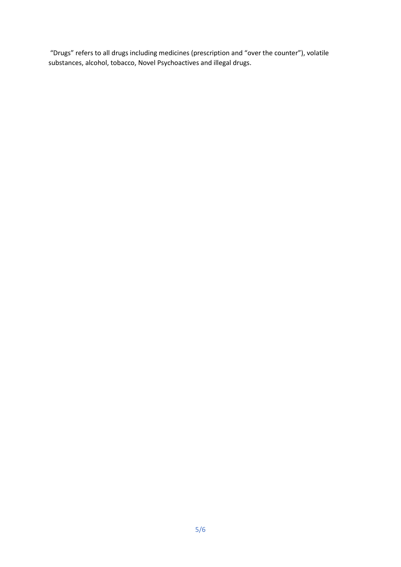"Drugs" refers to all drugs including medicines (prescription and "over the counter"), volatile substances, alcohol, tobacco, Novel Psychoactives and illegal drugs.